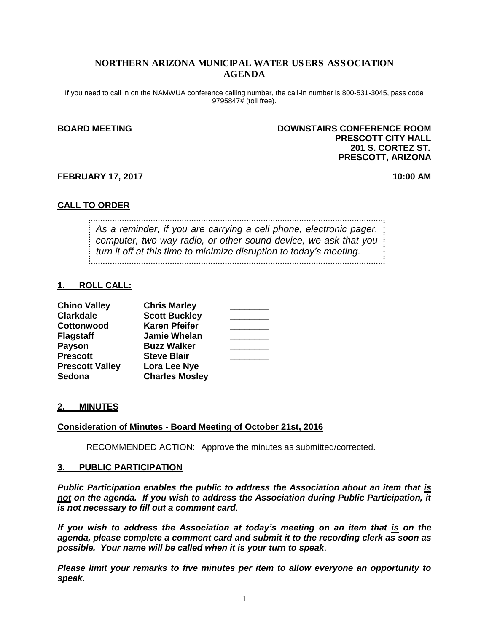#### NORTHERN ARIZONA MUNICIPAL WATER USERS ASSOCIATION AGENDA

If you need to call in on the NAMWUA conference calling number, the call-in number is 800-531-3045, pass code 9795847# (toll free).

#### **BOARD MEETING DOWNSTAIRS CONFERENCE ROOM PRESCOTT CITY HALL 201 S. CORTEZ ST. PRESCOTT, ARIZONA**

#### **FEBRUARY 17, 2017 10:00 AM**

#### **CALL TO ORDER**

*As a reminder, if you are carrying a cell phone, electronic pager, computer, two-way radio, or other sound device, we ask that you turn it off at this time to minimize disruption to today's meeting.*

#### **1. ROLL CALL:**

| <b>Chino Valley</b>    | <b>Chris Marley</b>   |  |
|------------------------|-----------------------|--|
| <b>Clarkdale</b>       | <b>Scott Buckley</b>  |  |
| Cottonwood             | <b>Karen Pfeifer</b>  |  |
| <b>Flagstaff</b>       | <b>Jamie Whelan</b>   |  |
| <b>Payson</b>          | <b>Buzz Walker</b>    |  |
| <b>Prescott</b>        | <b>Steve Blair</b>    |  |
| <b>Prescott Valley</b> | Lora Lee Nye          |  |
| <b>Sedona</b>          | <b>Charles Mosley</b> |  |

#### **2. MINUTES**

#### **Consideration of Minutes - Board Meeting of October 21st, 2016**

RECOMMENDED ACTION: Approve the minutes as submitted/corrected.

#### **3. PUBLIC PARTICIPATION**

*Public Participation enables the public to address the Association about an item that is not on the agenda. If you wish to address the Association during Public Participation, it is not necessary to fill out a comment card*.

*If you wish to address the Association at today's meeting on an item that is on the agenda, please complete a comment card and submit it to the recording clerk as soon as possible. Your name will be called when it is your turn to speak*.

*Please limit your remarks to five minutes per item to allow everyone an opportunity to speak*.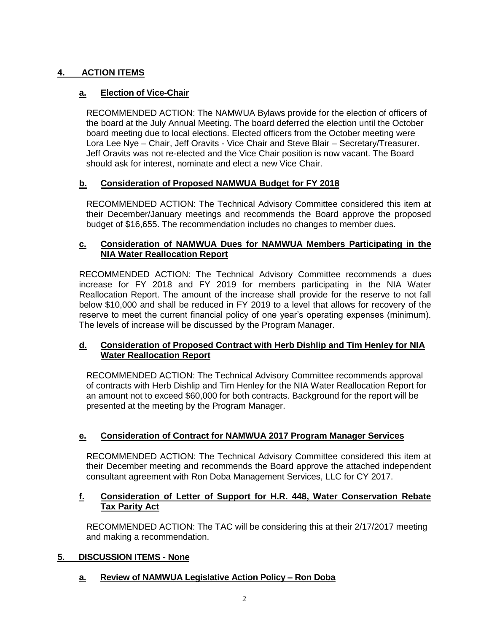## **4. ACTION ITEMS**

## **a. Election of Vice-Chair**

RECOMMENDED ACTION: The NAMWUA Bylaws provide for the election of officers of the board at the July Annual Meeting. The board deferred the election until the October board meeting due to local elections. Elected officers from the October meeting were Lora Lee Nye – Chair, Jeff Oravits - Vice Chair and Steve Blair – Secretary/Treasurer. Jeff Oravits was not re-elected and the Vice Chair position is now vacant. The Board should ask for interest, nominate and elect a new Vice Chair.

## **b. Consideration of Proposed NAMWUA Budget for FY 2018**

RECOMMENDED ACTION: The Technical Advisory Committee considered this item at their December/January meetings and recommends the Board approve the proposed budget of \$16,655. The recommendation includes no changes to member dues.

## **c. Consideration of NAMWUA Dues for NAMWUA Members Participating in the NIA Water Reallocation Report**

RECOMMENDED ACTION: The Technical Advisory Committee recommends a dues increase for FY 2018 and FY 2019 for members participating in the NIA Water Reallocation Report. The amount of the increase shall provide for the reserve to not fall below \$10,000 and shall be reduced in FY 2019 to a level that allows for recovery of the reserve to meet the current financial policy of one year's operating expenses (minimum). The levels of increase will be discussed by the Program Manager.

## **d. Consideration of Proposed Contract with Herb Dishlip and Tim Henley for NIA Water Reallocation Report**

RECOMMENDED ACTION: The Technical Advisory Committee recommends approval of contracts with Herb Dishlip and Tim Henley for the NIA Water Reallocation Report for an amount not to exceed \$60,000 for both contracts. Background for the report will be presented at the meeting by the Program Manager.

## **e. Consideration of Contract for NAMWUA 2017 Program Manager Services**

RECOMMENDED ACTION: The Technical Advisory Committee considered this item at their December meeting and recommends the Board approve the attached independent consultant agreement with Ron Doba Management Services, LLC for CY 2017.

## **f. Consideration of Letter of Support for H.R. 448, Water Conservation Rebate Tax Parity Act**

RECOMMENDED ACTION: The TAC will be considering this at their 2/17/2017 meeting and making a recommendation.

## **5. DISCUSSION ITEMS - None**

## **a. Review of NAMWUA Legislative Action Policy – Ron Doba**